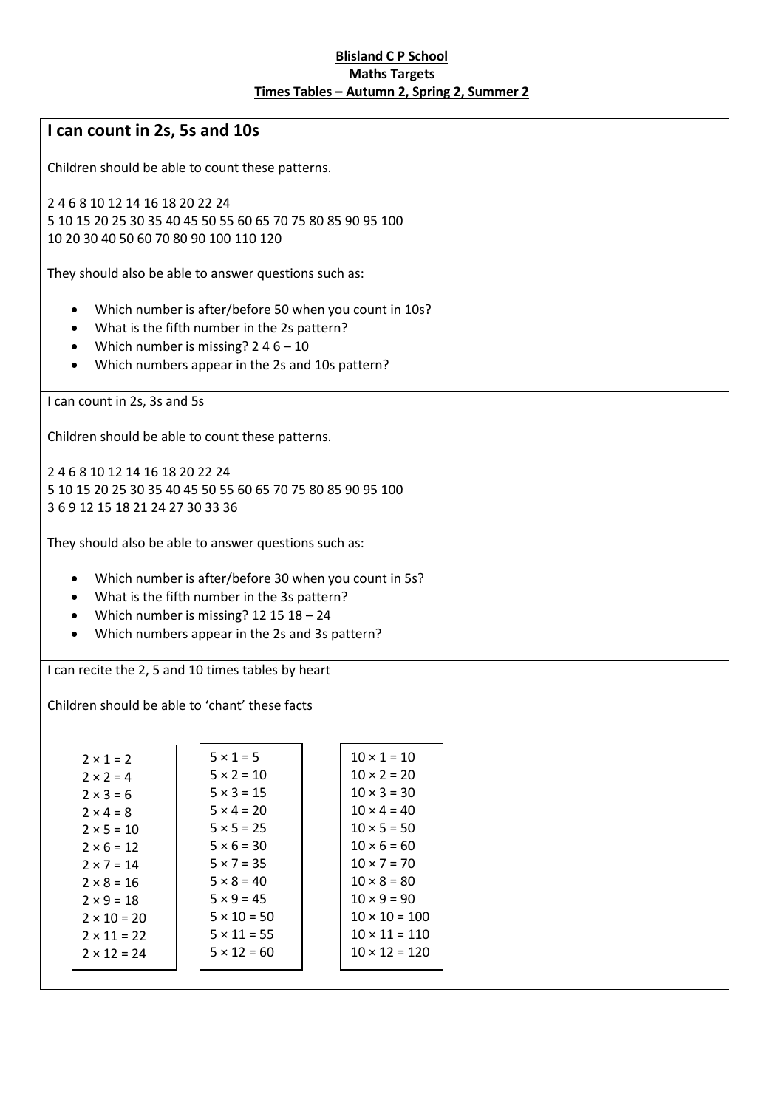## **Blisland C P School Maths Targets Times Tables – Autumn 2, Spring 2, Summer 2**

| I can count in 2s, 5s and 10s                                                                                                                                                                                                                       |                                                                                                                                                                                                                                      |                                                                                                                                                                                                                                                    |  |  |
|-----------------------------------------------------------------------------------------------------------------------------------------------------------------------------------------------------------------------------------------------------|--------------------------------------------------------------------------------------------------------------------------------------------------------------------------------------------------------------------------------------|----------------------------------------------------------------------------------------------------------------------------------------------------------------------------------------------------------------------------------------------------|--|--|
| Children should be able to count these patterns.                                                                                                                                                                                                    |                                                                                                                                                                                                                                      |                                                                                                                                                                                                                                                    |  |  |
| 2 4 6 8 10 12 14 16 18 20 22 24<br>5 10 15 20 25 30 35 40 45 50 55 60 65 70 75 80 85 90 95 100<br>10 20 30 40 50 60 70 80 90 100 110 120                                                                                                            |                                                                                                                                                                                                                                      |                                                                                                                                                                                                                                                    |  |  |
| They should also be able to answer questions such as:                                                                                                                                                                                               |                                                                                                                                                                                                                                      |                                                                                                                                                                                                                                                    |  |  |
| Which number is after/before 50 when you count in 10s?<br>$\bullet$<br>What is the fifth number in the 2s pattern?<br>$\bullet$<br>Which number is missing? $246 - 10$<br>$\bullet$<br>Which numbers appear in the 2s and 10s pattern?<br>$\bullet$ |                                                                                                                                                                                                                                      |                                                                                                                                                                                                                                                    |  |  |
| I can count in 2s, 3s and 5s                                                                                                                                                                                                                        |                                                                                                                                                                                                                                      |                                                                                                                                                                                                                                                    |  |  |
| Children should be able to count these patterns.                                                                                                                                                                                                    |                                                                                                                                                                                                                                      |                                                                                                                                                                                                                                                    |  |  |
| 2 4 6 8 10 12 14 16 18 20 22 24<br>5 10 15 20 25 30 35 40 45 50 55 60 65 70 75 80 85 90 95 100<br>369121518212427303336                                                                                                                             |                                                                                                                                                                                                                                      |                                                                                                                                                                                                                                                    |  |  |
| They should also be able to answer questions such as:                                                                                                                                                                                               |                                                                                                                                                                                                                                      |                                                                                                                                                                                                                                                    |  |  |
| $\bullet$<br>$\bullet$<br>$\bullet$                                                                                                                                                                                                                 | Which number is after/before 30 when you count in 5s?<br>What is the fifth number in the 3s pattern?<br>Which number is missing? $12$ 15 $18 - 24$<br>Which numbers appear in the 2s and 3s pattern?                                 |                                                                                                                                                                                                                                                    |  |  |
| I can recite the 2, 5 and 10 times tables by heart                                                                                                                                                                                                  |                                                                                                                                                                                                                                      |                                                                                                                                                                                                                                                    |  |  |
| Children should be able to 'chant' these facts                                                                                                                                                                                                      |                                                                                                                                                                                                                                      |                                                                                                                                                                                                                                                    |  |  |
| $2 \times 1 = 2$<br>$2 \times 2 = 4$<br>$2 \times 3 = 6$<br>$2 \times 4 = 8$<br>$2 \times 5 = 10$<br>$2 × 6 = 12$<br>$2 \times 7 = 14$<br>$2 \times 8 = 16$<br>$2 \times 9 = 18$<br>$2 \times 10 = 20$<br>$2 \times 11 = 22$                        | $5 \times 1 = 5$<br>$5 \times 2 = 10$<br>$5 \times 3 = 15$<br>$5 \times 4 = 20$<br>$5 \times 5 = 25$<br>$5 \times 6 = 30$<br>$5 \times 7 = 35$<br>$5 \times 8 = 40$<br>$5 \times 9 = 45$<br>$5 \times 10 = 50$<br>$5 \times 11 = 55$ | $10 \times 1 = 10$<br>$10 \times 2 = 20$<br>$10 \times 3 = 30$<br>$10 \times 4 = 40$<br>$10 \times 5 = 50$<br>$10 \times 6 = 60$<br>$10 \times 7 = 70$<br>$10 \times 8 = 80$<br>$10 \times 9 = 90$<br>$10 \times 10 = 100$<br>$10 \times 11 = 110$ |  |  |

 $2 \times 12 = 24$ 

 $5 \times 12 = 60$ 

 $10 \times 12 = 120$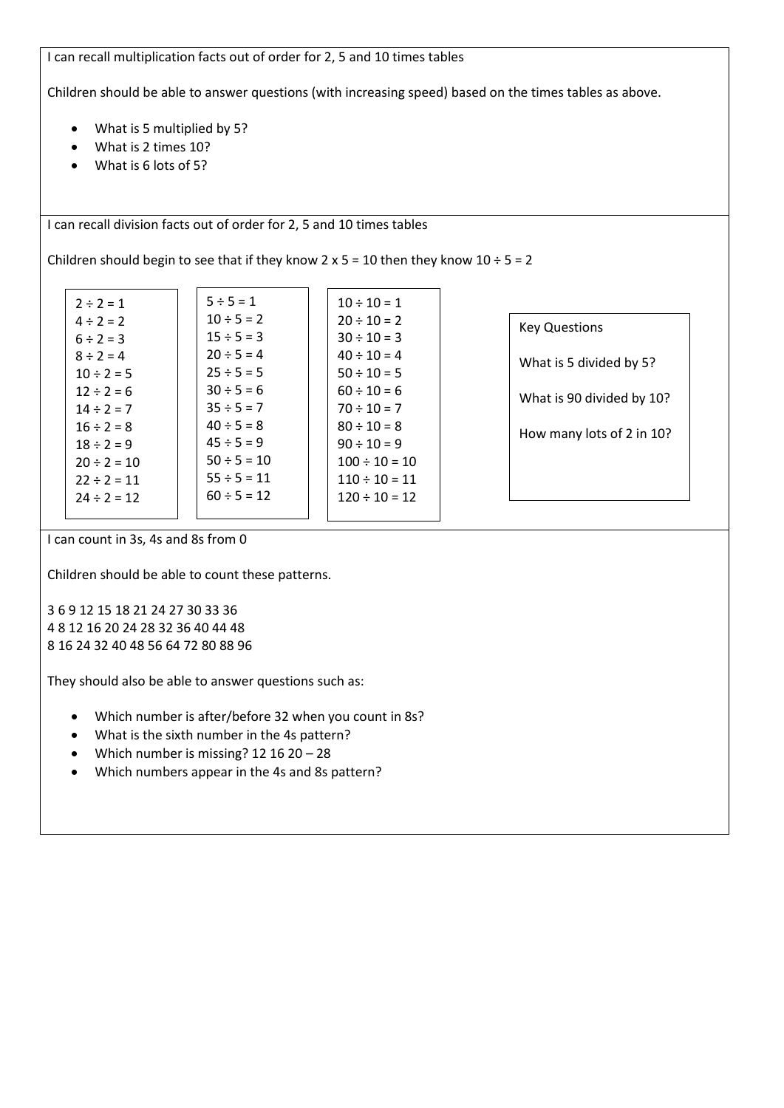I can recall multiplication facts out of order for 2, 5 and 10 times tables

Children should be able to answer questions (with increasing speed) based on the times tables as above.

- What is 5 multiplied by 5?
- What is 2 times 10?
- What is 6 lots of 5?

I can recall division facts out of order for 2, 5 and 10 times tables

Children should begin to see that if they know  $2 \times 5 = 10$  then they know  $10 \div 5 = 2$ 

| $2 \div 2 = 1$   | $5 \div 5 = 1$   | $10 \div 10 = 1$   |
|------------------|------------------|--------------------|
| $4 \div 2 = 2$   | $10 \div 5 = 2$  | $20 \div 10 = 2$   |
| $6 \div 2 = 3$   | $15 \div 5 = 3$  | $30 \div 10 = 3$   |
| $8 \div 2 = 4$   | $20 \div 5 = 4$  | $40 \div 10 = 4$   |
| $10 \div 2 = 5$  | $25 \div 5 = 5$  | $50 \div 10 = 5$   |
| $12 \div 2 = 6$  | $30 \div 5 = 6$  | $60 \div 10 = 6$   |
| $14 \div 2 = 7$  | $35 \div 5 = 7$  | $70 \div 10 = 7$   |
| $16 \div 2 = 8$  | $40 \div 5 = 8$  | $80 \div 10 = 8$   |
| $18 \div 2 = 9$  | $45 \div 5 = 9$  | $90 \div 10 = 9$   |
| $20 \div 2 = 10$ | $50 \div 5 = 10$ | $100 \div 10 = 10$ |
| $22 \div 2 = 11$ | $55 \div 5 = 11$ | $110 \div 10 = 11$ |
| $74 \div 7 = 17$ | $60 \div 5 = 12$ | $120 \div 10 = 12$ |
|                  |                  |                    |

|  | <b>Key Questions</b> |  |
|--|----------------------|--|
|--|----------------------|--|

What is 5 divided by 5?

What is 90 divided by 10?

How many lots of 2 in 10?

I can count in 3s, 4s and 8s from 0

Children should be able to count these patterns.

3 6 9 12 15 18 21 24 27 30 33 36 4 8 12 16 20 24 28 32 36 40 44 48 8 16 24 32 40 48 56 64 72 80 88 96

They should also be able to answer questions such as:

- Which number is after/before 32 when you count in 8s?
- What is the sixth number in the 4s pattern?
- Which number is missing? 12 16 20 28
- Which numbers appear in the 4s and 8s pattern?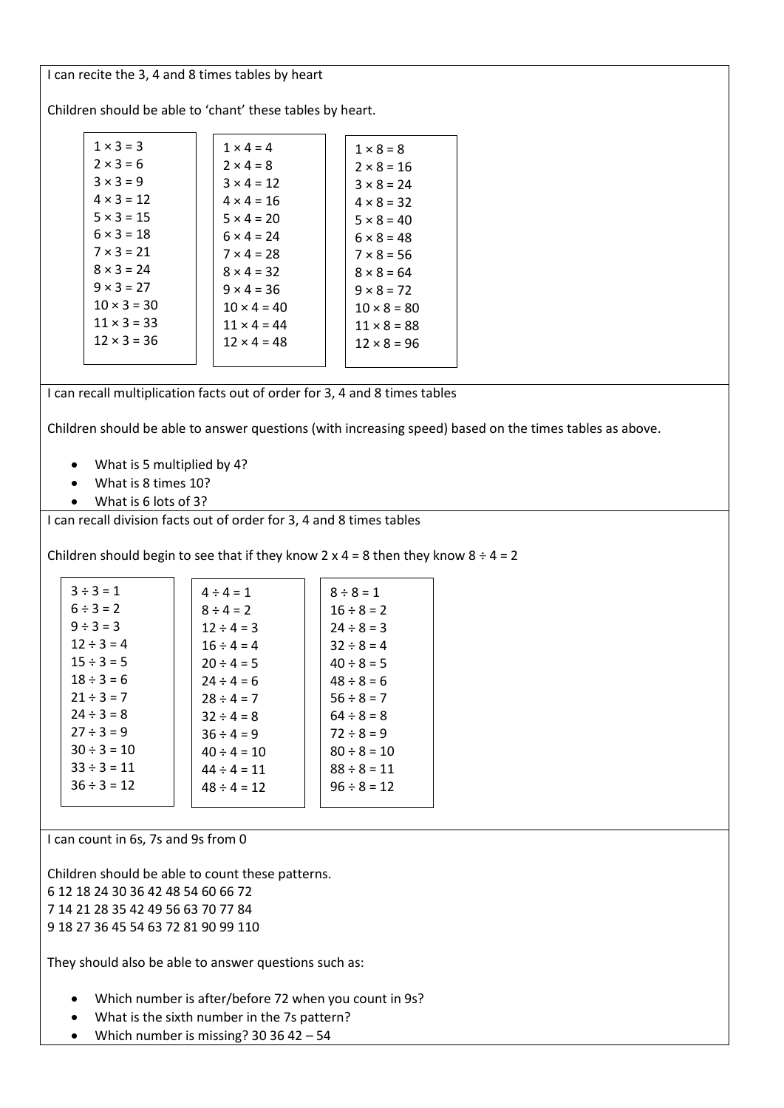## I can recite the 3, 4 and 8 times tables by heart

Children should be able to 'chant' these tables by heart.

| $1 \times 3 = 3$   | $1 \times 4 = 4$   | $1 \times 8 = 8$   |
|--------------------|--------------------|--------------------|
| $2 \times 3 = 6$   | $2 \times 4 = 8$   | $2 \times 8 = 16$  |
| $3 \times 3 = 9$   | $3 \times 4 = 12$  | $3 \times 8 = 24$  |
| $4 \times 3 = 12$  | $4 \times 4 = 16$  | $4 \times 8 = 32$  |
| $5 \times 3 = 15$  | $5 \times 4 = 20$  | $5 \times 8 = 40$  |
| $6 \times 3 = 18$  | $6 \times 4 = 24$  | $6 \times 8 = 48$  |
| $7 \times 3 = 21$  | $7 \times 4 = 28$  | $7 \times 8 = 56$  |
| $8 \times 3 = 24$  | $8 \times 4 = 32$  | $8 \times 8 = 64$  |
| $9 \times 3 = 27$  | $9 \times 4 = 36$  | $9 \times 8 = 72$  |
| $10 \times 3 = 30$ | $10 \times 4 = 40$ | $10 \times 8 = 80$ |
| $11 \times 3 = 33$ | $11 \times 4 = 44$ | $11 \times 8 = 88$ |
| $12 \times 3 = 36$ | $12 \times 4 = 48$ | $12 \times 8 = 96$ |
|                    |                    |                    |

I can recall multiplication facts out of order for 3, 4 and 8 times tables

Children should be able to answer questions (with increasing speed) based on the times tables as above.

- What is 5 multiplied by 4?
- What is 8 times 10?
- What is 6 lots of 3?

I can recall division facts out of order for 3, 4 and 8 times tables

Children should begin to see that if they know  $2 \times 4 = 8$  then they know  $8 \div 4 = 2$ 

| $3 \div 3 = 1$   | $4 \div 4 = 1$   | $8 \div 8 = 1$   |
|------------------|------------------|------------------|
| $6 \div 3 = 2$   | $8 \div 4 = 2$   | $16 \div 8 = 2$  |
| $9 \div 3 = 3$   | $12 \div 4 = 3$  | $24 \div 8 = 3$  |
| $12 \div 3 = 4$  | $16 \div 4 = 4$  | $32 \div 8 = 4$  |
| $15 \div 3 = 5$  | $20 \div 4 = 5$  | $40 \div 8 = 5$  |
| $18 \div 3 = 6$  | $24 \div 4 = 6$  | $48 \div 8 = 6$  |
| $21 \div 3 = 7$  | $28 \div 4 = 7$  | $56 \div 8 = 7$  |
| $24 \div 3 = 8$  | $32 \div 4 = 8$  | $64 \div 8 = 8$  |
| $27 \div 3 = 9$  | $36 \div 4 = 9$  | $72 \div 8 = 9$  |
| $30 \div 3 = 10$ | $40 \div 4 = 10$ | $80 \div 8 = 10$ |
| $33 \div 3 = 11$ | $44 \div 4 = 11$ | $88 \div 8 = 11$ |
| $36 \div 3 = 12$ | $48 \div 4 = 12$ | $96 \div 8 = 12$ |
|                  |                  |                  |

I can count in 6s, 7s and 9s from 0

Children should be able to count these patterns. 6 12 18 24 30 36 42 48 54 60 66 72 7 14 21 28 35 42 49 56 63 70 77 84 9 18 27 36 45 54 63 72 81 90 99 110

They should also be able to answer questions such as:

- Which number is after/before 72 when you count in 9s?
- What is the sixth number in the 7s pattern?
- Which number is missing? 30 36 42 54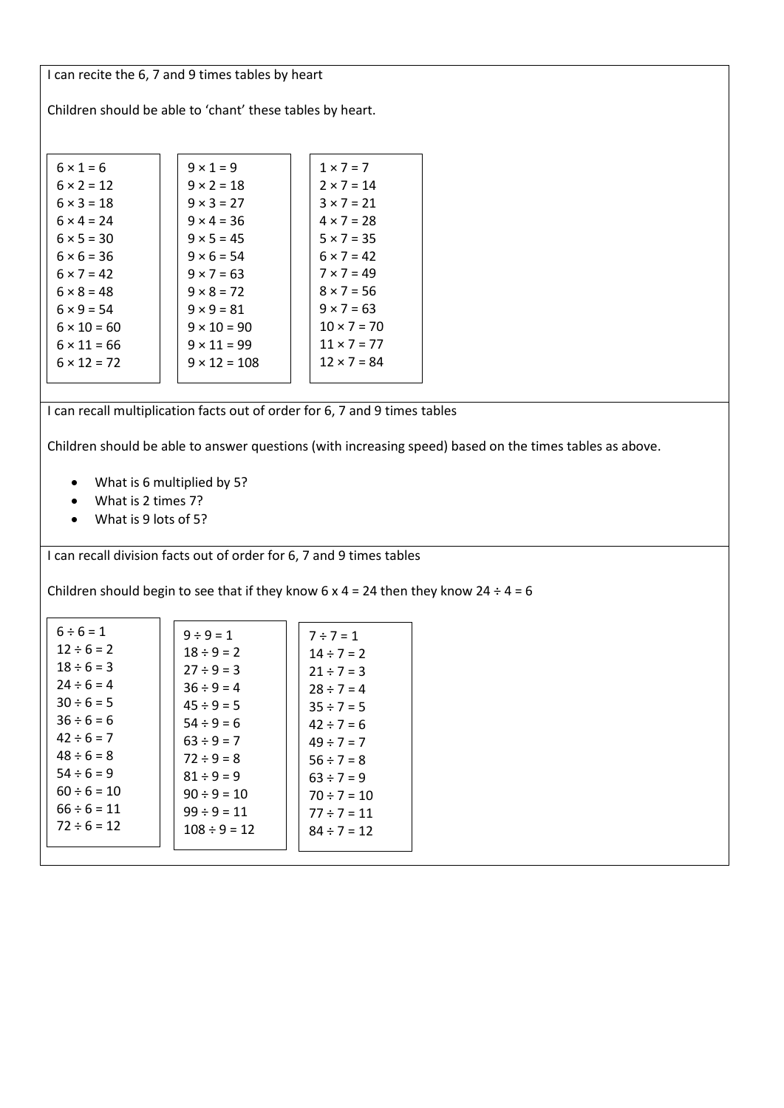I can recite the 6, 7 and 9 times tables by heart

Children should be able to 'chant' these tables by heart.

| $6 \times 1 = 6$   | $9 \times 1 = 9$    | $1 \times 7 = 7$   |
|--------------------|---------------------|--------------------|
| $6 \times 2 = 12$  | $9 \times 2 = 18$   | $2 \times 7 = 14$  |
| $6 \times 3 = 18$  | $9 \times 3 = 27$   | $3 \times 7 = 21$  |
| $6 \times 4 = 24$  | $9 \times 4 = 36$   | $4 \times 7 = 28$  |
| $6 \times 5 = 30$  | $9 \times 5 = 45$   | $5 \times 7 = 35$  |
| $6 \times 6 = 36$  | $9 \times 6 = 54$   | $6 \times 7 = 42$  |
| $6 \times 7 = 42$  | $9 \times 7 = 63$   | $7 \times 7 = 49$  |
| $6 \times 8 = 48$  | $9 \times 8 = 72$   | $8 \times 7 = 56$  |
| $6 \times 9 = 54$  | $9 \times 9 = 81$   | $9 \times 7 = 63$  |
| $6 \times 10 = 60$ | $9 \times 10 = 90$  | $10 \times 7 = 70$ |
| $6 \times 11 = 66$ | $9 \times 11 = 99$  | $11 \times 7 = 77$ |
| $6 \times 12 = 72$ | $9 \times 12 = 108$ | $12 \times 7 = 84$ |
|                    |                     |                    |

I can recall multiplication facts out of order for 6, 7 and 9 times tables

Children should be able to answer questions (with increasing speed) based on the times tables as above.

- What is 6 multiplied by 5?
- What is 2 times 7?
- What is 9 lots of 5?

I can recall division facts out of order for 6, 7 and 9 times tables

Children should begin to see that if they know  $6 \times 4 = 24$  then they know  $24 \div 4 = 6$ 

| $6 \div 6 = 1$   | $9 \div 9 = 1$    | $7 \div 7 = 1$   |
|------------------|-------------------|------------------|
| $12 \div 6 = 2$  | $18 \div 9 = 2$   | $14 \div 7 = 2$  |
| $18 \div 6 = 3$  | $27 \div 9 = 3$   | $21 \div 7 = 3$  |
| $24 \div 6 = 4$  | $36 \div 9 = 4$   | $28 \div 7 = 4$  |
| $30 \div 6 = 5$  | $45 \div 9 = 5$   | $35 \div 7 = 5$  |
| $36 \div 6 = 6$  | $54 \div 9 = 6$   | $42 \div 7 = 6$  |
| $42 \div 6 = 7$  | $63 \div 9 = 7$   | $49 \div 7 = 7$  |
| $48 \div 6 = 8$  | $72 \div 9 = 8$   | $56 \div 7 = 8$  |
| $54 \div 6 = 9$  | $81 \div 9 = 9$   | $63 \div 7 = 9$  |
| $60 \div 6 = 10$ | $90 \div 9 = 10$  | $70 \div 7 = 10$ |
| $66 \div 6 = 11$ | $99 \div 9 = 11$  | $77 \div 7 = 11$ |
| $72 \div 6 = 12$ | $108 \div 9 = 12$ | $84 \div 7 = 12$ |
|                  |                   |                  |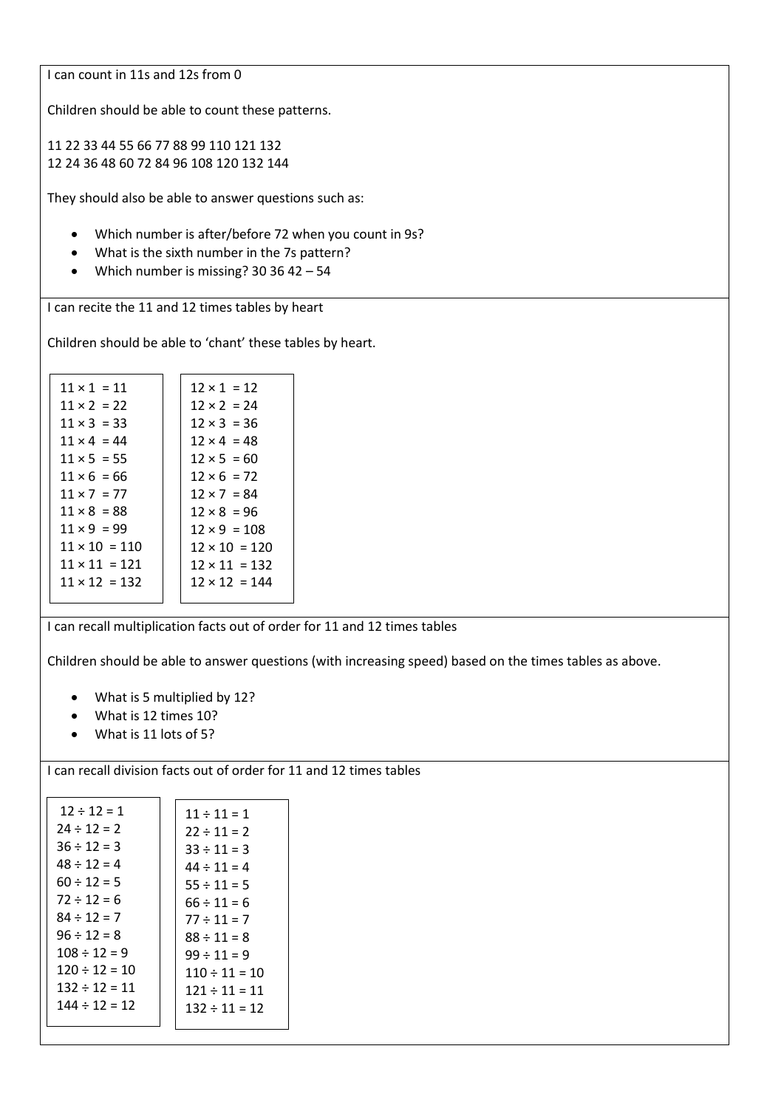I can count in 11s and 12s from 0

Children should be able to count these patterns.

11 22 33 44 55 66 77 88 99 110 121 132 12 24 36 48 60 72 84 96 108 120 132 144

They should also be able to answer questions such as:

- Which number is after/before 72 when you count in 9s?
- What is the sixth number in the 7s pattern?
- Which number is missing?  $30\,36\,42 54$

I can recite the 11 and 12 times tables by heart

Children should be able to 'chant' these tables by heart.

| $11 \times 1 = 11$   | $12 \times 1 = 12$   |
|----------------------|----------------------|
|                      |                      |
| $11 \times 2 = 22$   | $12 \times 2 = 24$   |
| $11 \times 3 = 33$   | $12 \times 3 = 36$   |
| $11 \times 4 = 44$   | $12 \times 4 = 48$   |
| $11 \times 5 = 55$   | $12 \times 5 = 60$   |
| $11 \times 6 = 66$   | $12 \times 6 = 72$   |
| $11 \times 7 = 77$   | $12 \times 7 = 84$   |
| $11 \times 8 = 88$   | $12 \times 8 = 96$   |
| $11 \times 9 = 99$   | $12 \times 9 = 108$  |
| $11 \times 10 = 110$ | $12 \times 10 = 120$ |
| $11 \times 11 = 121$ | $12 \times 11 = 132$ |
| $11 \times 12 = 132$ | $12 \times 12 = 144$ |
|                      |                      |

I can recall multiplication facts out of order for 11 and 12 times tables

Children should be able to answer questions (with increasing speed) based on the times tables as above.

- What is 5 multiplied by 12?
- What is 12 times 10?
- What is 11 lots of 5?

I can recall division facts out of order for 11 and 12 times tables

| $12 \div 12 = 1$   | $11 \div 11 = 1$   |
|--------------------|--------------------|
| $24 \div 12 = 2$   | $22 \div 11 = 2$   |
| $36 \div 12 = 3$   | $33 \div 11 = 3$   |
| $48 \div 12 = 4$   | $44 \div 11 = 4$   |
| $60 \div 12 = 5$   | $55 \div 11 = 5$   |
| $72 \div 12 = 6$   | $66 \div 11 = 6$   |
| $84 \div 12 = 7$   | $77 \div 11 = 7$   |
| $96 \div 12 = 8$   | $88 \div 11 = 8$   |
| $108 \div 12 = 9$  | $99 \div 11 = 9$   |
| $120 \div 12 = 10$ | $110 \div 11 = 10$ |
| $132 \div 12 = 11$ | $121 \div 11 = 11$ |
| $144 \div 12 = 12$ | $132 \div 11 = 12$ |
|                    |                    |